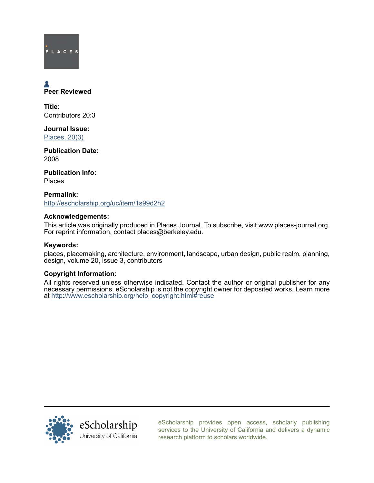# PLACES

## Peer Reviewed

Title: Contributors 20:3

Journal Issue: [Places, 20\(3\)](http://escholarship.org/uc/ced_places?volume=20;issue=3)

Publication Date: 2008

Publication Info: Places

Permalink: <http://escholarship.org/uc/item/1s99d2h2>

#### Acknowledgements:

This article was originally produced in Places Journal. To subscribe, visit www.places-journal.org. For reprint information, contact places@berkeley.edu.

#### Keywords:

places, placemaking, architecture, environment, landscape, urban design, public realm, planning, design, volume 20, issue 3, contributors

#### Copyright Information:

All rights reserved unless otherwise indicated. Contact the author or original publisher for any necessary permissions. eScholarship is not the copyright owner for deposited works. Learn more at [http://www.escholarship.org/help\\_copyright.html#reuse](http://www.escholarship.org/help_copyright.html#reuse)



[eScholarship provides open access, scholarly publishing](http://escholarship.org) [services to the University of California and delivers a dynamic](http://escholarship.org) [research platform to scholars worldwide.](http://escholarship.org)